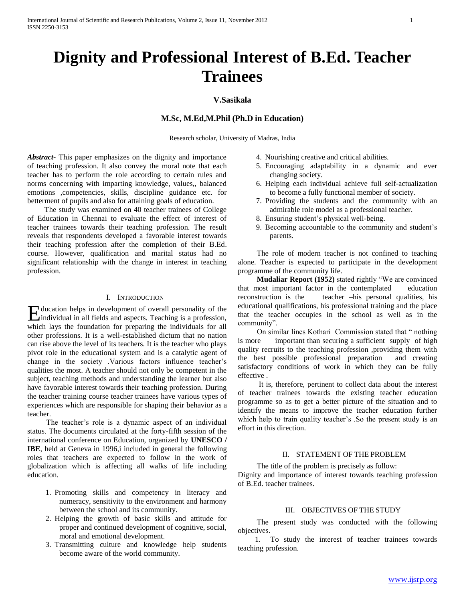# **Dignity and Professional Interest of B.Ed. Teacher Trainees**

# **V.Sasikala**

# **M.Sc, M.Ed,M.Phil (Ph.D in Education)**

Research scholar, University of Madras, India

*Abstract***-** This paper emphasizes on the dignity and importance of teaching profession. It also convey the moral note that each teacher has to perform the role according to certain rules and norms concerning with imparting knowledge, values,, balanced emotions ,competencies, skills, discipline guidance etc. for betterment of pupils and also for attaining goals of education.

 The study was examined on 40 teacher trainees of College of Education in Chennai to evaluate the effect of interest of teacher trainees towards their teaching profession. The result reveals that respondents developed a favorable interest towards their teaching profession after the completion of their B.Ed. course. However, qualification and marital status had no significant relationship with the change in interest in teaching profession.

## I. INTRODUCTION

ducation helps in development of overall personality of the Education helps in development of overall personality of the individual in all fields and aspects. Teaching is a profession, which lays the foundation for preparing the individuals for all other professions. It is a well-established dictum that no nation can rise above the level of its teachers. It is the teacher who plays pivot role in the educational system and is a catalytic agent of change in the society .Various factors influence teacher's qualities the most. A teacher should not only be competent in the subject, teaching methods and understanding the learner but also have favorable interest towards their teaching profession. During the teacher training course teacher trainees have various types of experiences which are responsible for shaping their behavior as a teacher.

 The teacher's role is a dynamic aspect of an individual status. The documents circulated at the forty-fifth session of the international conference on Education, organized by **UNESCO / IBE**, held at Geneva in 1996, i included in general the following roles that teachers are expected to follow in the work of globalization which is affecting all walks of life including education.

- 1. Promoting skills and competency in literacy and numeracy, sensitivity to the environment and harmony between the school and its community.
- 2. Helping the growth of basic skills and attitude for proper and continued development of cognitive, social, moral and emotional development.
- 3. Transmitting culture and knowledge help students become aware of the world community.
- 4. Nourishing creative and critical abilities.
- 5. Encouraging adaptability in a dynamic and ever changing society.
- 6. Helping each individual achieve full self-actualization to become a fully functional member of society.
- 7. Providing the students and the community with an admirable role model as a professional teacher.
- 8. Ensuring student's physical well-being.
- 9. Becoming accountable to the community and student's parents.

 The role of modern teacher is not confined to teaching alone. Teacher is expected to participate in the development programme of the community life.

 **Mudaliar Report (1952)** stated rightly "We are convinced that most important factor in the contemplated education reconstruction is the teacher –his personal qualities, his educational qualifications, his professional training and the place that the teacher occupies in the school as well as in the community".

 On similar lines Kothari Commission stated that " nothing is more important than securing a sufficient supply of high quality recruits to the teaching profession ,providing them with the best possible professional preparation and creating satisfactory conditions of work in which they can be fully effective .

 It is, therefore, pertinent to collect data about the interest of teacher trainees towards the existing teacher education programme so as to get a better picture of the situation and to identify the means to improve the teacher education further which help to train quality teacher's .So the present study is an effort in this direction.

## II. STATEMENT OF THE PROBLEM

The title of the problem is precisely as follow:

Dignity and importance of interest towards teaching profession of B.Ed. teacher trainees.

#### III. OBJECTIVES OF THE STUDY

 The present study was conducted with the following objectives.

 1. To study the interest of teacher trainees towards teaching profession.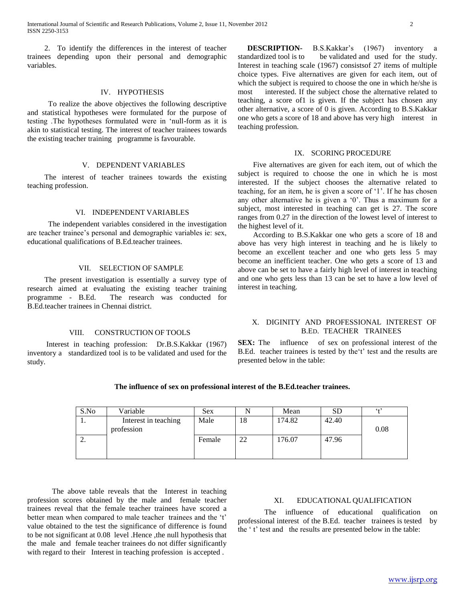2. To identify the differences in the interest of teacher trainees depending upon their personal and demographic variables.

## IV. HYPOTHESIS

 To realize the above objectives the following descriptive and statistical hypotheses were formulated for the purpose of testing .The hypotheses formulated were in 'null-form as it is akin to statistical testing. The interest of teacher trainees towards the existing teacher training programme is favourable.

#### V. DEPENDENT VARIABLES

 The interest of teacher trainees towards the existing teaching profession.

## VI. INDEPENDENT VARIABLES

 The independent variables considered in the investigation are teacher trainee's personal and demographic variables ie: sex, educational qualifications of B.Ed.teacher trainees.

#### VII. SELECTION OF SAMPLE

 The present investigation is essentially a survey type of research aimed at evaluating the existing teacher training programme - B.Ed. The research was conducted for B.Ed.teacher trainees in Chennai district.

#### VIII.CONSTRUCTION OF TOOLS

 Interest in teaching profession: Dr.B.S.Kakkar (1967) inventory a standardized tool is to be validated and used for the study.

 **DESCRIPTION-** B.S.Kakkar's (1967) inventory a standardized tool is to be validated and used for the study. Interest in teaching scale (1967) consistsof 27 items of multiple choice types. Five alternatives are given for each item, out of which the subject is required to choose the one in which he/she is most interested. If the subject chose the alternative related to teaching, a score of1 is given. If the subject has chosen any other alternative, a score of 0 is given. According to B.S.Kakkar one who gets a score of 18 and above has very high interest in teaching profession.

#### IX. SCORING PROCEDURE

 Five alternatives are given for each item, out of which the subject is required to choose the one in which he is most interested. If the subject chooses the alternative related to teaching, for an item, he is given a score of '1'. If he has chosen any other alternative he is given a '0'. Thus a maximum for a subject, most interested in teaching can get is 27. The score ranges from 0.27 in the direction of the lowest level of interest to the highest level of it.

 According to B.S.Kakkar one who gets a score of 18 and above has very high interest in teaching and he is likely to become an excellent teacher and one who gets less 5 may become an inefficient teacher. One who gets a score of 13 and above can be set to have a fairly high level of interest in teaching and one who gets less than 13 can be set to have a low level of interest in teaching.

### X. DIGINITY AND PROFESSIONAL INTEREST OF B.ED. TEACHER TRAINEES

**SEX:** The influence of sex on professional interest of the B.Ed. teacher trainees is tested by the't' test and the results are presented below in the table:

|  | The influence of sex on professional interest of the B.Ed.teacher trainees. |
|--|-----------------------------------------------------------------------------|
|--|-----------------------------------------------------------------------------|

| S.No     | Variable             | <b>Sex</b> |    | Mean   | SD    | 6.17 |
|----------|----------------------|------------|----|--------|-------|------|
| .,       | Interest in teaching | Male       | 18 | 174.82 | 42.40 |      |
|          | profession           |            |    |        |       | 0.08 |
| <u>.</u> |                      | Female     | 22 | 176.07 | 47.96 |      |
|          |                      |            |    |        |       |      |
|          |                      |            |    |        |       |      |

 The above table reveals that the Interest in teaching profession scores obtained by the male and female teacher trainees reveal that the female teacher trainees have scored a better mean when compared to male teacher trainees and the 't' value obtained to the test the significance of difference is found to be not significant at 0.08 level .Hence ,the null hypothesis that the male and female teacher trainees do not differ significantly with regard to their Interest in teaching profession is accepted.

## XI. EDUCATIONAL QUALIFICATION

The influence of educational qualification on professional interest of the B.Ed. teacher trainees is tested by the ' t' test and the results are presented below in the table: